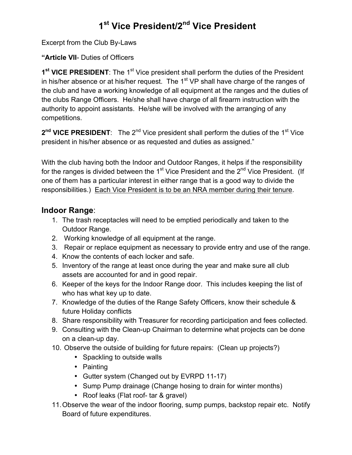## **1st Vice President/2nd Vice President**

Excerpt from the Club By-Laws

**"Article VII**- Duties of Officers

1<sup>st</sup> VICE PRESIDENT: The 1<sup>st</sup> Vice president shall perform the duties of the President in his/her absence or at his/her request. The  $1<sup>st</sup> VP$  shall have charge of the ranges of the club and have a working knowledge of all equipment at the ranges and the duties of the clubs Range Officers. He/she shall have charge of all firearm instruction with the authority to appoint assistants. He/she will be involved with the arranging of any competitions.

**2<sup>nd</sup> VICE PRESIDENT**: The 2<sup>nd</sup> Vice president shall perform the duties of the 1<sup>st</sup> Vice president in his/her absence or as requested and duties as assigned."

With the club having both the Indoor and Outdoor Ranges, it helps if the responsibility for the ranges is divided between the  $1<sup>st</sup>$  Vice President and the  $2<sup>nd</sup>$  Vice President. (If one of them has a particular interest in either range that is a good way to divide the responsibilities.) Each Vice President is to be an NRA member during their tenure.

## **Indoor Range**:

- 1. The trash receptacles will need to be emptied periodically and taken to the Outdoor Range.
- 2. Working knowledge of all equipment at the range.
- 3. Repair or replace equipment as necessary to provide entry and use of the range.
- 4. Know the contents of each locker and safe.
- 5. Inventory of the range at least once during the year and make sure all club assets are accounted for and in good repair.
- 6. Keeper of the keys for the Indoor Range door. This includes keeping the list of who has what key up to date.
- 7. Knowledge of the duties of the Range Safety Officers, know their schedule & future Holiday conflicts
- 8. Share responsibility with Treasurer for recording participation and fees collected.
- 9. Consulting with the Clean-up Chairman to determine what projects can be done on a clean-up day.
- 10. Observe the outside of building for future repairs: (Clean up projects?)
	- Spackling to outside walls
	- Painting
	- Gutter system (Changed out by EVRPD 11-17)
	- Sump Pump drainage (Change hosing to drain for winter months)
	- Roof leaks (Flat roof- tar & gravel)
- 11.Observe the wear of the indoor flooring, sump pumps, backstop repair etc. Notify Board of future expenditures.